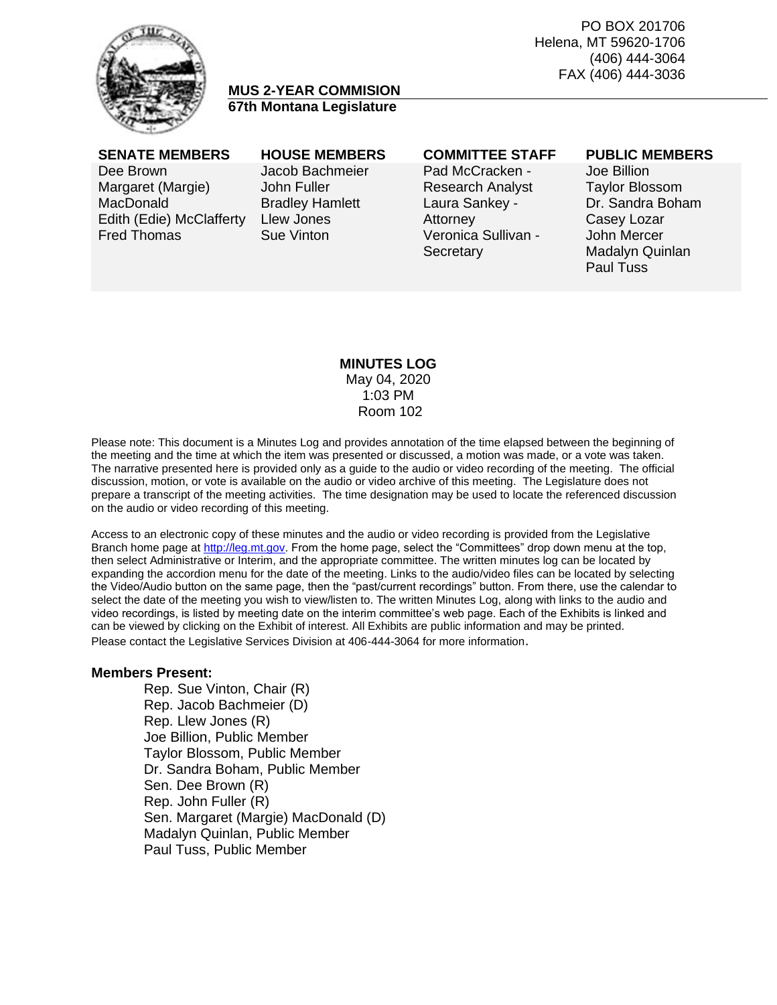PO BOX 201706 Helena, MT 59620-1706 (406) 444-3064 FAX (406) 444-3036



# **MUS 2-YEAR COMMISION 67th Montana Legislature**

Dee Brown Margaret (Margie) **MacDonald** Edith (Edie) McClafferty Fred Thomas

# Jacob Bachmeier John Fuller Bradley Hamlett Llew Jones Sue Vinton

Pad McCracken - Research Analyst Laura Sankey - Attorney Veronica Sullivan - **Secretary** 

### **SENATE MEMBERS HOUSE MEMBERS COMMITTEE STAFF PUBLIC MEMBERS**

Joe Billion Taylor Blossom Dr. Sandra Boham Casey Lozar John Mercer Madalyn Quinlan Paul Tuss

### **MINUTES LOG** May 04, 2020 1:03 PM Room 102

Please note: This document is a Minutes Log and provides annotation of the time elapsed between the beginning of the meeting and the time at which the item was presented or discussed, a motion was made, or a vote was taken. The narrative presented here is provided only as a guide to the audio or video recording of the meeting. The official discussion, motion, or vote is available on the audio or video archive of this meeting. The Legislature does not prepare a transcript of the meeting activities. The time designation may be used to locate the referenced discussion on the audio or video recording of this meeting.

Access to an electronic copy of these minutes and the audio or video recording is provided from the Legislative Branch home page a[t http://leg.mt.gov.](http://leg.mt.gov/) From the home page, select the "Committees" drop down menu at the top, then select Administrative or Interim, and the appropriate committee. The written minutes log can be located by expanding the accordion menu for the date of the meeting. Links to the audio/video files can be located by selecting the Video/Audio button on the same page, then the "past/current recordings" button. From there, use the calendar to select the date of the meeting you wish to view/listen to. The written Minutes Log, along with links to the audio and video recordings, is listed by meeting date on the interim committee's web page. Each of the Exhibits is linked and can be viewed by clicking on the Exhibit of interest. All Exhibits are public information and may be printed. Please contact the Legislative Services Division at 406-444-3064 for more information.

## **Members Present:**

Rep. Sue Vinton, Chair (R) Rep. Jacob Bachmeier (D) Rep. Llew Jones (R) Joe Billion, Public Member Taylor Blossom, Public Member Dr. Sandra Boham, Public Member Sen. Dee Brown (R) Rep. John Fuller (R) Sen. Margaret (Margie) MacDonald (D) Madalyn Quinlan, Public Member Paul Tuss, Public Member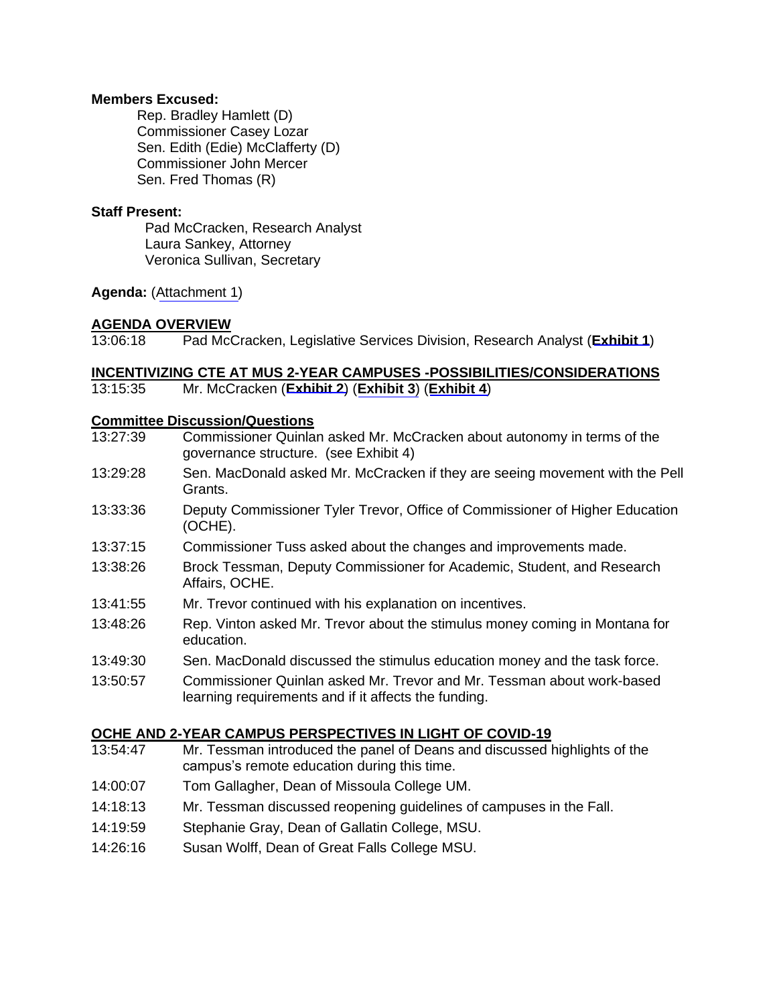## **Members Excused:**

Rep. Bradley Hamlett (D) Commissioner Casey Lozar Sen. Edith (Edie) McClafferty (D) Commissioner John Mercer Sen. Fred Thomas (R)

## **Staff Present:**

Pad McCracken, Research Analyst Laura Sankey, Attorney Veronica Sullivan, Secretary

**Agenda:** ([Attachment 1\)](https://leg.mt.gov/content/Committees/Interim/2019-2020/HB-754-MUS-2-Year-Commission/May-2020/Exhibits/Attachment1.pdf)

# **AGENDA OVERVIEW**

13:06:18 Pad McCracken, Legislative Services Division, Research Analyst (**[Exhibit 1](https://leg.mt.gov/content/Committees/Interim/2019-2020/HB-754-MUS-2-Year-Commission/May-2020/Exhibits/EX1.pdf)**)

# **INCENTIVIZING CTE AT MUS 2-YEAR CAMPUSES -POSSIBILITIES/CONSIDERATIONS**

13:15:35 Mr. McCracken (**[Exhibit 2](https://leg.mt.gov/content/Committees/Interim/2019-2020/HB-754-MUS-2-Year-Commission/May-2020/Exhibits/EX2.pdf)**) (**[Exhibit 3](https://leg.mt.gov/content/Committees/Interim/2019-2020/HB-754-MUS-2-Year-Commission/May-2020/Exhibits/EX3.pdf)**) (**[Exhibit 4](https://leg.mt.gov/content/Committees/Interim/2019-2020/HB-754-MUS-2-Year-Commission/May-2020/Exhibits/EX4.pdf)**)

## **Committee Discussion/Questions**

13:27:39 Commissioner Quinlan asked Mr. McCracken about autonomy in terms of the governance structure. (see Exhibit 4) 13:29:28 Sen. MacDonald asked Mr. McCracken if they are seeing movement with the Pell Grants. 13:33:36 Deputy Commissioner Tyler Trevor, Office of Commissioner of Higher Education (OCHE). 13:37:15 Commissioner Tuss asked about the changes and improvements made. 13:38:26 Brock Tessman, Deputy Commissioner for Academic, Student, and Research Affairs, OCHE. 13:41:55 Mr. Trevor continued with his explanation on incentives. 13:48:26 Rep. Vinton asked Mr. Trevor about the stimulus money coming in Montana for education. 13:49:30 Sen. MacDonald discussed the stimulus education money and the task force. 13:50:57 Commissioner Quinlan asked Mr. Trevor and Mr. Tessman about work-based learning requirements and if it affects the funding.

### **OCHE AND 2-YEAR CAMPUS PERSPECTIVES IN LIGHT OF COVID-19** 13:54:47 Mr. Tessman introduced the panel of Deans and discussed highlights of the

- campus's remote education during this time.
- 14:00:07 Tom Gallagher, Dean of Missoula College UM.
- 14:18:13 Mr. Tessman discussed reopening guidelines of campuses in the Fall.
- 14:19:59 Stephanie Gray, Dean of Gallatin College, MSU.
- 14:26:16 Susan Wolff, Dean of Great Falls College MSU.